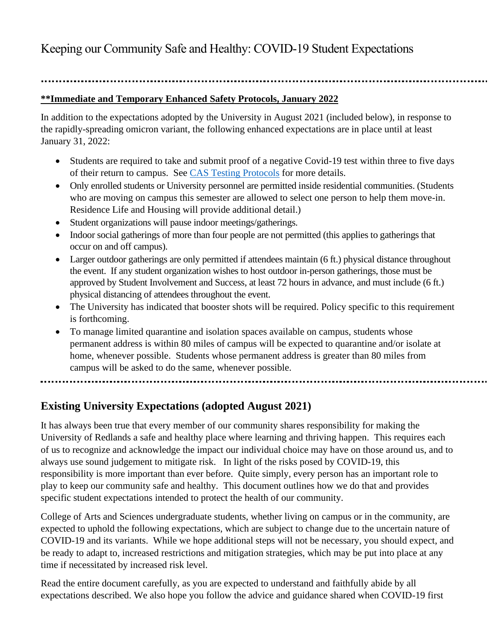Keeping our Community Safe and Healthy: COVID-19 Student Expectations

# **\*\*Immediate and Temporary Enhanced Safety Protocols, January 2022**

In addition to the expectations adopted by the University in August 2021 (included below), in response to the rapidly-spreading omicron variant, the following enhanced expectations are in place until at least January 31, 2022:

- Students are required to take and submit proof of a negative Covid-19 test within three to five days of their return to campus. See [CAS Testing Protocols](https://www.redlands.edu/urready/info-for-students-and-families/update-timeline---messages-to-students/january-2-2022-cas-undergraduate-covid-19-testing-requirements-spring-2022/) for more details.
- Only enrolled students or University personnel are permitted inside residential communities. (Students who are moving on campus this semester are allowed to select one person to help them move-in. Residence Life and Housing will provide additional detail.)
- Student organizations will pause indoor meetings/gatherings.
- Indoor social gatherings of more than four people are not permitted (this applies to gatherings that occur on and off campus).
- Larger outdoor gatherings are only permitted if attendees maintain (6 ft.) physical distance throughout the event. If any student organization wishes to host outdoor in-person gatherings, those must be approved by Student Involvement and Success, at least 72 hours in advance, and must include (6 ft.) physical distancing of attendees throughout the event.
- The University has indicated that booster shots will be required. Policy specific to this requirement is forthcoming.
- To manage limited quarantine and isolation spaces available on campus, students whose permanent address is within 80 miles of campus will be expected to quarantine and/or isolate at home, whenever possible. Students whose permanent address is greater than 80 miles from campus will be asked to do the same, whenever possible.

...........................

# **Existing University Expectations (adopted August 2021)**

It has always been true that every member of our community shares responsibility for making the University of Redlands a safe and healthy place where learning and thriving happen. This requires each of us to recognize and acknowledge the impact our individual choice may have on those around us, and to always use sound judgement to mitigate risk. In light of the risks posed by COVID-19, this responsibility is more important than ever before. Quite simply, every person has an important role to play to keep our community safe and healthy. This document outlines how we do that and provides specific student expectations intended to protect the health of our community.

College of Arts and Sciences undergraduate students, whether living on campus or in the community, are expected to uphold the following expectations, which are subject to change due to the uncertain nature of COVID-19 and its variants. While we hope additional steps will not be necessary, you should expect, and be ready to adapt to, increased restrictions and mitigation strategies, which may be put into place at any time if necessitated by increased risk level.

Read the entire document carefully, as you are expected to understand and faithfully abide by all expectations described. We also hope you follow the advice and guidance shared when COVID-19 first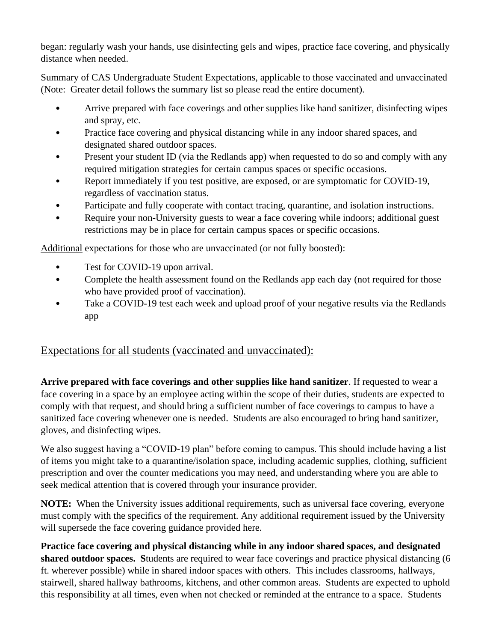began: regularly wash your hands, use disinfecting gels and wipes, practice face covering, and physically distance when needed.

Summary of CAS Undergraduate Student Expectations, applicable to those vaccinated and unvaccinated (Note: Greater detail follows the summary list so please read the entire document).

- Arrive prepared with face coverings and other supplies like hand sanitizer, disinfecting wipes and spray, etc.
- Practice face covering and physical distancing while in any indoor shared spaces, and designated shared outdoor spaces.
- Present your student ID (via the Redlands app) when requested to do so and comply with any required mitigation strategies for certain campus spaces or specific occasions.
- Report immediately if you test positive, are exposed, or are symptomatic for COVID-19, regardless of vaccination status.
- Participate and fully cooperate with contact tracing, quarantine, and isolation instructions.
- Require your non-University guests to wear a face covering while indoors; additional guest restrictions may be in place for certain campus spaces or specific occasions.

Additional expectations for those who are unvaccinated (or not fully boosted):

- Test for COVID-19 upon arrival.
- Complete the health assessment found on the Redlands app each day (not required for those who have provided proof of vaccination).
- Take a COVID-19 test each week and upload proof of your negative results via the Redlands app

# Expectations for all students (vaccinated and unvaccinated):

**Arrive prepared with face coverings and other supplies like hand sanitizer**. If requested to wear a face covering in a space by an employee acting within the scope of their duties, students are expected to comply with that request, and should bring a sufficient number of face coverings to campus to have a sanitized face covering whenever one is needed. Students are also encouraged to bring hand sanitizer, gloves, and disinfecting wipes.

We also suggest having a "COVID-19 plan" before coming to campus. This should include having a list of items you might take to a quarantine/isolation space, including academic supplies, clothing, sufficient prescription and over the counter medications you may need, and understanding where you are able to seek medical attention that is covered through your insurance provider.

**NOTE:** When the University issues additional requirements, such as universal face covering, everyone must comply with the specifics of the requirement. Any additional requirement issued by the University will supersede the face covering guidance provided here.

**Practice face covering and physical distancing while in any indoor shared spaces, and designated shared outdoor spaces. S**tudents are required to wear face coverings and practice physical distancing (6 ft. wherever possible) while in shared indoor spaces with others. This includes classrooms, hallways, stairwell, shared hallway bathrooms, kitchens, and other common areas. Students are expected to uphold this responsibility at all times, even when not checked or reminded at the entrance to a space. Students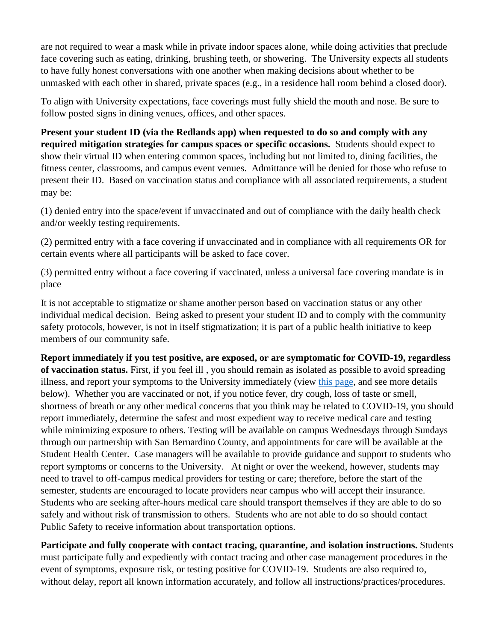are not required to wear a mask while in private indoor spaces alone, while doing activities that preclude face covering such as eating, drinking, brushing teeth, or showering. The University expects all students to have fully honest conversations with one another when making decisions about whether to be unmasked with each other in shared, private spaces (e.g., in a residence hall room behind a closed door).

To align with University expectations, face coverings must fully shield the mouth and nose. Be sure to follow posted signs in dining venues, offices, and other spaces.

**Present your student ID (via the Redlands app) when requested to do so and comply with any required mitigation strategies for campus spaces or specific occasions.** Students should expect to show their virtual ID when entering common spaces, including but not limited to, dining facilities, the fitness center, classrooms, and campus event venues.Admittance will be denied for those who refuse to present their ID. Based on vaccination status and compliance with all associated requirements, a student may be:

(1) denied entry into the space/event if unvaccinated and out of compliance with the daily health check and/or weekly testing requirements.

(2) permitted entry with a face covering if unvaccinated and in compliance with all requirements OR for certain events where all participants will be asked to face cover.

(3) permitted entry without a face covering if vaccinated, unless a universal face covering mandate is in place

It is not acceptable to stigmatize or shame another person based on vaccination status or any other individual medical decision. Being asked to present your student ID and to comply with the community safety protocols, however, is not in itself stigmatization; it is part of a public health initiative to keep members of our community safe.

**Report immediately if you test positive, are exposed, or are symptomatic for COVID-19, regardless of vaccination status.** First, if you feel ill , you should remain as isolated as possible to avoid spreading illness, and report your symptoms to the University immediately (view [this page,](https://www.redlands.edu/urready/what-to-do-if-you-feel-sick/) and see more details below). Whether you are vaccinated or not, if you notice fever, dry cough, loss of taste or smell, shortness of breath or any other medical concerns that you think may be related to COVID-19, you should report immediately, determine the safest and most expedient way to receive medical care and testing while minimizing exposure to others. Testing will be available on campus Wednesdays through Sundays through our partnership with San Bernardino County, and appointments for care will be available at the Student Health Center. Case managers will be available to provide guidance and support to students who report symptoms or concerns to the University. At night or over the weekend, however, students may need to travel to off-campus medical providers for testing or care; therefore, before the start of the semester, students are encouraged to locate providers near campus who will accept their insurance. Students who are seeking after-hours medical care should transport themselves if they are able to do so safely and without risk of transmission to others. Students who are not able to do so should contact Public Safety to receive information about transportation options.

**Participate and fully cooperate with contact tracing, quarantine, and isolation instructions.** Students must participate fully and expediently with contact tracing and other case management procedures in the event of symptoms, exposure risk, or testing positive for COVID-19. Students are also required to, without delay, report all known information accurately, and follow all instructions/practices/procedures.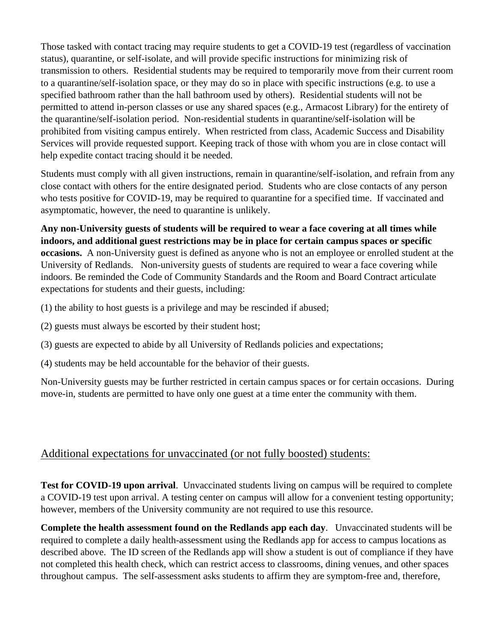Those tasked with contact tracing may require students to get a COVID-19 test (regardless of vaccination status), quarantine, or self-isolate, and will provide specific instructions for minimizing risk of transmission to others. Residential students may be required to temporarily move from their current room to a quarantine/self-isolation space, or they may do so in place with specific instructions (e.g. to use a specified bathroom rather than the hall bathroom used by others). Residential students will not be permitted to attend in-person classes or use any shared spaces (e.g., Armacost Library) for the entirety of the quarantine/self-isolation period. Non-residential students in quarantine/self-isolation will be prohibited from visiting campus entirely. When restricted from class, Academic Success and Disability Services will provide requested support. Keeping track of those with whom you are in close contact will help expedite contact tracing should it be needed.

Students must comply with all given instructions, remain in quarantine/self-isolation, and refrain from any close contact with others for the entire designated period. Students who are close contacts of any person who tests positive for COVID-19, may be required to quarantine for a specified time. If vaccinated and asymptomatic, however, the need to quarantine is unlikely.

**Any non-University guests of students will be required to wear a face covering at all times while indoors, and additional guest restrictions may be in place for certain campus spaces or specific occasions.** A non-University guest is defined as anyone who is not an employee or enrolled student at the University of Redlands. Non-university guests of students are required to wear a face covering while indoors. Be reminded the Code of Community Standards and the Room and Board Contract articulate expectations for students and their guests, including:

(1) the ability to host guests is a privilege and may be rescinded if abused;

- (2) guests must always be escorted by their student host;
- (3) guests are expected to abide by all University of Redlands policies and expectations;
- (4) students may be held accountable for the behavior of their guests.

Non-University guests may be further restricted in certain campus spaces or for certain occasions. During move-in, students are permitted to have only one guest at a time enter the community with them.

## Additional expectations for unvaccinated (or not fully boosted) students:

**Test for COVID-19 upon arrival**. Unvaccinated students living on campus will be required to complete a COVID-19 test upon arrival. A testing center on campus will allow for a convenient testing opportunity; however, members of the University community are not required to use this resource.

**Complete the health assessment found on the Redlands app each day**. Unvaccinated students will be required to complete a daily health-assessment using the Redlands app for access to campus locations as described above. The ID screen of the Redlands app will show a student is out of compliance if they have not completed this health check, which can restrict access to classrooms, dining venues, and other spaces throughout campus. The self-assessment asks students to affirm they are symptom-free and, therefore,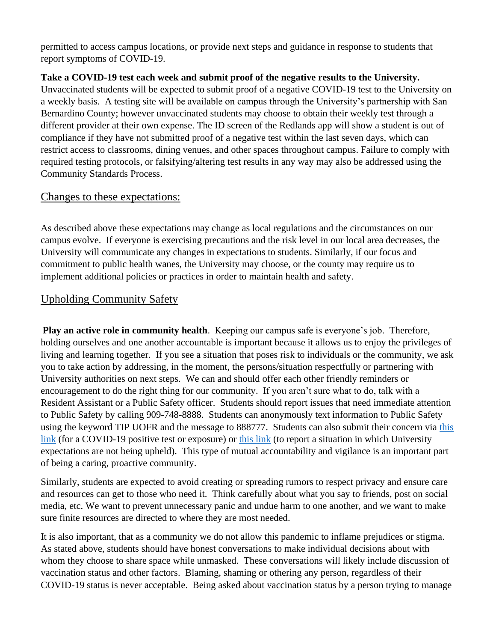permitted to access campus locations, or provide next steps and guidance in response to students that report symptoms of COVID-19.

#### **Take a COVID-19 test each week and submit proof of the negative results to the University.**

Unvaccinated students will be expected to submit proof of a negative COVID-19 test to the University on a weekly basis. A testing site will be available on campus through the University's partnership with San Bernardino County; however unvaccinated students may choose to obtain their weekly test through a different provider at their own expense. The ID screen of the Redlands app will show a student is out of compliance if they have not submitted proof of a negative test within the last seven days, which can restrict access to classrooms, dining venues, and other spaces throughout campus. Failure to comply with required testing protocols, or falsifying/altering test results in any way may also be addressed using the Community Standards Process.

#### Changes to these expectations:

As described above these expectations may change as local regulations and the circumstances on our campus evolve. If everyone is exercising precautions and the risk level in our local area decreases, the University will communicate any changes in expectations to students. Similarly, if our focus and commitment to public health wanes, the University may choose, or the county may require us to implement additional policies or practices in order to maintain health and safety.

### Upholding Community Safety

**Play an active role in community health**. Keeping our campus safe is everyone's job. Therefore, holding ourselves and one another accountable is important because it allows us to enjoy the privileges of living and learning together. If you see a situation that poses risk to individuals or the community, we ask you to take action by addressing, in the moment, the persons/situation respectfully or partnering with University authorities on next steps. We can and should offer each other friendly reminders or encouragement to do the right thing for our community. If you aren't sure what to do, talk with a Resident Assistant or a Public Safety officer. Students should report issues that need immediate attention to Public Safety by calling 909-748-8888. Students can anonymously text information to Public Safety using the keyword TIP UOFR and the message to 888777. Students can also submit their concern via [this](https://cm.maxient.com/reportingform.php?UnivofRedlands&layout_id=30)  [link](https://cm.maxient.com/reportingform.php?UnivofRedlands&layout_id=30) (for a COVID-19 positive test or exposure) or [this link](https://cm.maxient.com/reportingform.php?UnivofRedlands&layout_id=0) (to report a situation in which University expectations are not being upheld). This type of mutual accountability and vigilance is an important part of being a caring, proactive community.

Similarly, students are expected to avoid creating or spreading rumors to respect privacy and ensure care and resources can get to those who need it. Think carefully about what you say to friends, post on social media, etc. We want to prevent unnecessary panic and undue harm to one another, and we want to make sure finite resources are directed to where they are most needed.

It is also important, that as a community we do not allow this pandemic to inflame prejudices or stigma. As stated above, students should have honest conversations to make individual decisions about with whom they choose to share space while unmasked. These conversations will likely include discussion of vaccination status and other factors. Blaming, shaming or othering any person, regardless of their COVID-19 status is never acceptable. Being asked about vaccination status by a person trying to manage